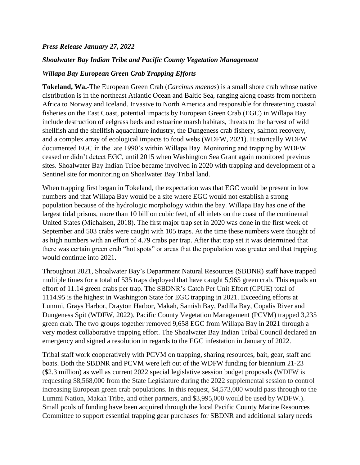## *Press Release January 27, 2022*

## *Shoalwater Bay Indian Tribe and Pacific County Vegetation Management*

## *Willapa Bay European Green Crab Trapping Efforts*

**Tokeland, Wa.-**The European Green Crab (*Carcinus maenas*) is a small shore crab whose native distribution is in the northeast Atlantic Ocean and Baltic Sea, ranging along coasts from northern Africa to Norway and Iceland. Invasive to North America and responsible for threatening coastal fisheries on the East Coast, potential impacts by European Green Crab (EGC) in Willapa Bay include destruction of eelgrass beds and estuarine marsh habitats, threats to the harvest of wild shellfish and the shellfish aquaculture industry, the Dungeness crab fishery, salmon recovery, and a complex array of ecological impacts to food webs (WDFW, 2021). Historically WDFW documented EGC in the late 1990's within Willapa Bay. Monitoring and trapping by WDFW ceased or didn't detect EGC, until 2015 when Washington Sea Grant again monitored previous sites. Shoalwater Bay Indian Tribe became involved in 2020 with trapping and development of a Sentinel site for monitoring on Shoalwater Bay Tribal land.

When trapping first began in Tokeland, the expectation was that EGC would be present in low numbers and that Willapa Bay would be a site where EGC would not establish a strong population because of the hydrologic morphology within the bay. Willapa Bay has one of the largest tidal prisms, more than 10 billion cubic feet, of all inlets on the coast of the continental United States (Michalsen, 2018). The first major trap set in 2020 was done in the first week of September and 503 crabs were caught with 105 traps. At the time these numbers were thought of as high numbers with an effort of 4.79 crabs per trap. After that trap set it was determined that there was certain green crab "hot spots" or areas that the population was greater and that trapping would continue into 2021.

Throughout 2021, Shoalwater Bay's Department Natural Resources (SBDNR) staff have trapped multiple times for a total of 535 traps deployed that have caught 5,965 green crab. This equals an effort of 11.14 green crabs per trap. The SBDNR's Catch Per Unit Effort (CPUE) total of 1114.95 is the highest in Washington State for EGC trapping in 2021. Exceeding efforts at Lummi, Grays Harbor, Drayton Harbor, Makah, Samish Bay, Padilla Bay, Copalis River and Dungeness Spit (WDFW, 2022). Pacific County Vegetation Management (PCVM) trapped 3,235 green crab. The two groups together removed 9,658 EGC from Willapa Bay in 2021 through a very modest collaborative trapping effort. The Shoalwater Bay Indian Tribal Council declared an emergency and signed a resolution in regards to the EGC infestation in January of 2022.

Tribal staff work cooperatively with PCVM on trapping, sharing resources, bait, gear, staff and boats. Both the SBDNR and PCVM were left out of the WDFW funding for biennium 21-23 (\$2.3 million) as well as current 2022 special legislative session budget proposals **(**WDFW is requesting \$8,568,000 from the State Legislature during the 2022 supplemental session to control increasing European green crab populations. In this request, \$4,573,000 would pass through to the Lummi Nation, Makah Tribe, and other partners, and \$3,995,000 would be used by WDFW.). Small pools of funding have been acquired through the local Pacific County Marine Resources Committee to support essential trapping gear purchases for SBDNR and additional salary needs